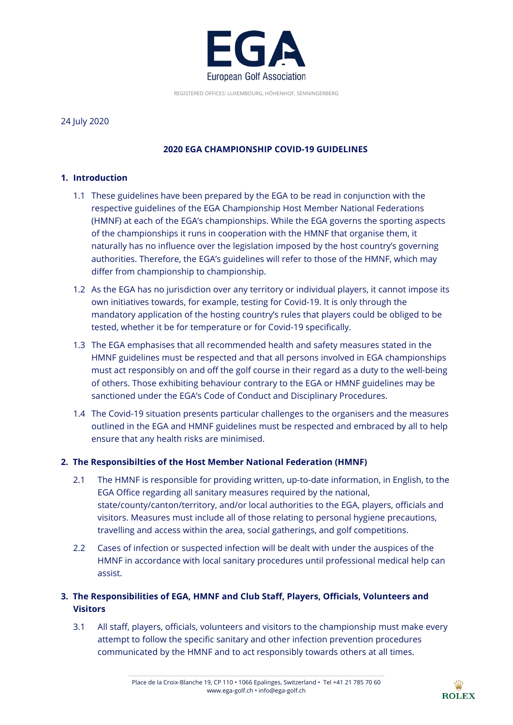

REGISTERED OFFICES: LUXEMBOURG, HÖHENHOF, SENNINGERBERG

### 24 July 2020

# **2020 EGA CHAMPIONSHIP COVID-19 GUIDELINES**

## **1. Introduction**

- 1.1 These guidelines have been prepared by the EGA to be read in conjunction with the respective guidelines of the EGA Championship Host Member National Federations (HMNF) at each of the EGA's championships. While the EGA governs the sporting aspects of the championships it runs in cooperation with the HMNF that organise them, it naturally has no influence over the legislation imposed by the host country's governing authorities. Therefore, the EGA's guidelines will refer to those of the HMNF, which may differ from championship to championship.
- 1.2 As the EGA has no jurisdiction over any territory or individual players, it cannot impose its own initiatives towards, for example, testing for Covid-19. It is only through the mandatory application of the hosting country's rules that players could be obliged to be tested, whether it be for temperature or for Covid-19 specifically.
- 1.3 The EGA emphasises that all recommended health and safety measures stated in the HMNF guidelines must be respected and that all persons involved in EGA championships must act responsibly on and off the golf course in their regard as a duty to the well-being of others. Those exhibiting behaviour contrary to the EGA or HMNF guidelines may be sanctioned under the EGA's Code of Conduct and Disciplinary Procedures.
- 1.4 The Covid-19 situation presents particular challenges to the organisers and the measures outlined in the EGA and HMNF guidelines must be respected and embraced by all to help ensure that any health risks are minimised.

## **2. The Responsibilties of the Host Member National Federation (HMNF)**

- 2.1 The HMNF is responsible for providing written, up-to-date information, in English, to the EGA Office regarding all sanitary measures required by the national, state/county/canton/territory, and/or local authorities to the EGA, players, officials and visitors. Measures must include all of those relating to personal hygiene precautions, travelling and access within the area, social gatherings, and golf competitions.
- 2.2 Cases of infection or suspected infection will be dealt with under the auspices of the HMNF in accordance with local sanitary procedures until professional medical help can assist.

# **3. The Responsibilities of EGA, HMNF and Club Staff, Players, Officials, Volunteers and Visitors**

3.1 All staff, players, officials, volunteers and visitors to the championship must make every attempt to follow the specific sanitary and other infection prevention procedures communicated by the HMNF and to act responsibly towards others at all times.